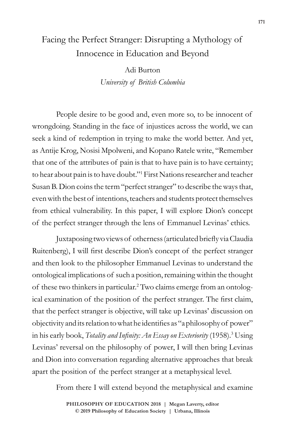# Facing the Perfect Stranger: Disrupting a Mythology of Innocence in Education and Beyond

Adi Burton *University of British Columbia*

People desire to be good and, even more so, to be innocent of wrongdoing. Standing in the face of injustices across the world, we can seek a kind of redemption in trying to make the world better. And yet, as Antije Krog, Nosisi Mpolweni, and Kopano Ratele write, "Remember that one of the attributes of pain is that to have pain is to have certainty; to hear about pain is to have doubt."1 First Nations researcher and teacher Susan B. Dion coins the term "perfect stranger" to describe the ways that, even with the best of intentions, teachers and students protect themselves from ethical vulnerability. In this paper, I will explore Dion's concept of the perfect stranger through the lens of Emmanuel Levinas' ethics.

Juxtaposing two views of otherness (articulated briefly via Claudia Ruitenberg), I will first describe Dion's concept of the perfect stranger and then look to the philosopher Emmanuel Levinas to understand the ontological implications of such a position, remaining within the thought of these two thinkers in particular.<sup>2</sup> Two claims emerge from an ontological examination of the position of the perfect stranger. The first claim, that the perfect stranger is objective, will take up Levinas' discussion on objectivity and its relation to what he identifies as "a philosophy of power" in his early book, *Totality and Infinity: An Essay on Exteriority* (1958).3 Using Levinas' reversal on the philosophy of power, I will then bring Levinas and Dion into conversation regarding alternative approaches that break apart the position of the perfect stranger at a metaphysical level.

From there I will extend beyond the metaphysical and examine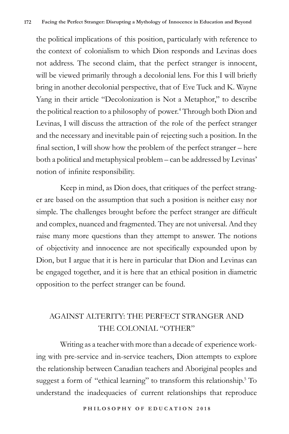the political implications of this position, particularly with reference to the context of colonialism to which Dion responds and Levinas does not address. The second claim, that the perfect stranger is innocent, will be viewed primarily through a decolonial lens. For this I will briefly bring in another decolonial perspective, that of Eve Tuck and K. Wayne Yang in their article "Decolonization is Not a Metaphor," to describe the political reaction to a philosophy of power.<sup>4</sup> Through both Dion and Levinas, I will discuss the attraction of the role of the perfect stranger and the necessary and inevitable pain of rejecting such a position. In the final section, I will show how the problem of the perfect stranger – here both a political and metaphysical problem – can be addressed by Levinas' notion of infinite responsibility.

Keep in mind, as Dion does, that critiques of the perfect stranger are based on the assumption that such a position is neither easy nor simple. The challenges brought before the perfect stranger are difficult and complex, nuanced and fragmented. They are not universal. And they raise many more questions than they attempt to answer. The notions of objectivity and innocence are not specifically expounded upon by Dion, but I argue that it is here in particular that Dion and Levinas can be engaged together, and it is here that an ethical position in diametric opposition to the perfect stranger can be found.

## AGAINST ALTERITY: THE PERFECT STRANGER AND THE COLONIAL "OTHER"

Writing as a teacher with more than a decade of experience working with pre-service and in-service teachers, Dion attempts to explore the relationship between Canadian teachers and Aboriginal peoples and suggest a form of "ethical learning" to transform this relationship.<sup>5</sup> To understand the inadequacies of current relationships that reproduce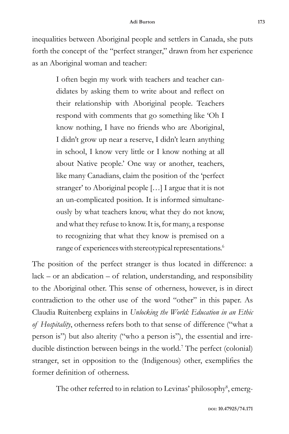inequalities between Aboriginal people and settlers in Canada, she puts forth the concept of the "perfect stranger," drawn from her experience as an Aboriginal woman and teacher:

> I often begin my work with teachers and teacher candidates by asking them to write about and reflect on their relationship with Aboriginal people. Teachers respond with comments that go something like 'Oh I know nothing, I have no friends who are Aboriginal, I didn't grow up near a reserve, I didn't learn anything in school, I know very little or I know nothing at all about Native people.' One way or another, teachers, like many Canadians, claim the position of the 'perfect stranger' to Aboriginal people […] I argue that it is not an un-complicated position. It is informed simultaneously by what teachers know, what they do not know, and what they refuse to know. It is, for many, a response to recognizing that what they know is premised on a range of experiences with stereotypical representations.<sup>6</sup>

The position of the perfect stranger is thus located in difference: a  $lack - or an abdication - of relation, understanding, and responsibility$ to the Aboriginal other. This sense of otherness, however, is in direct contradiction to the other use of the word "other" in this paper. As Claudia Ruitenberg explains in *Unlocking the World: Education in an Ethic of Hospitality*, otherness refers both to that sense of difference ("what a person is") but also alterity ("who a person is"), the essential and irreducible distinction between beings in the world.<sup>7</sup> The perfect (colonial) stranger, set in opposition to the (Indigenous) other, exemplifies the former definition of otherness.

The other referred to in relation to Levinas' philosophy<sup>8</sup>, emerg-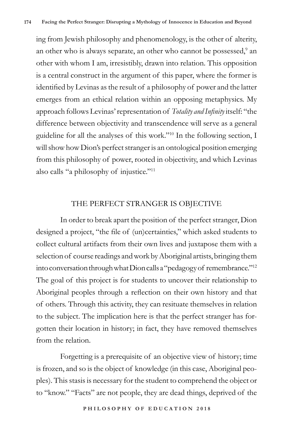ing from Jewish philosophy and phenomenology, is the other of alterity, an other who is always separate, an other who cannot be possessed,<sup>9</sup> an other with whom I am, irresistibly, drawn into relation. This opposition is a central construct in the argument of this paper, where the former is identified by Levinas as the result of a philosophy of power and the latter emerges from an ethical relation within an opposing metaphysics. My approach follows Levinas' representation of *Totality and Infinity* itself: "the difference between objectivity and transcendence will serve as a general guideline for all the analyses of this work."10 In the following section, I will show how Dion's perfect stranger is an ontological position emerging from this philosophy of power, rooted in objectivity, and which Levinas also calls "a philosophy of injustice."11

#### THE PERFECT STRANGER IS OBJECTIVE

In order to break apart the position of the perfect stranger, Dion designed a project, "the file of (un)certainties," which asked students to collect cultural artifacts from their own lives and juxtapose them with a selection of course readings and work by Aboriginal artists, bringing them into conversation through what Dion calls a "pedagogy of remembrance."12 The goal of this project is for students to uncover their relationship to Aboriginal peoples through a reflection on their own history and that of others. Through this activity, they can resituate themselves in relation to the subject. The implication here is that the perfect stranger has forgotten their location in history; in fact, they have removed themselves from the relation.

Forgetting is a prerequisite of an objective view of history; time is frozen, and so is the object of knowledge (in this case, Aboriginal peoples). This stasis is necessary for the student to comprehend the object or to "know." "Facts" are not people, they are dead things, deprived of the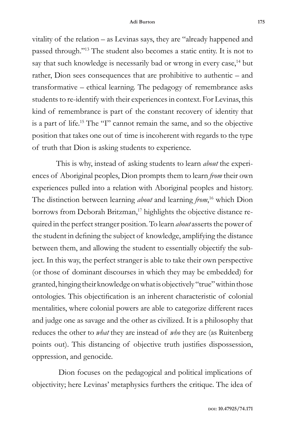vitality of the relation – as Levinas says, they are "already happened and passed through."13 The student also becomes a static entity. It is not to say that such knowledge is necessarily bad or wrong in every case,<sup>14</sup> but rather, Dion sees consequences that are prohibitive to authentic – and transformative – ethical learning. The pedagogy of remembrance asks students to re-identify with their experiences in context. For Levinas, this kind of remembrance is part of the constant recovery of identity that is a part of life.15 The "I" cannot remain the same, and so the objective position that takes one out of time is incoherent with regards to the type of truth that Dion is asking students to experience.

This is why, instead of asking students to learn *about* the experiences of Aboriginal peoples, Dion prompts them to learn *from* their own experiences pulled into a relation with Aboriginal peoples and history. The distinction between learning *about* and learning *from*, 16 which Dion borrows from Deborah Britzman,<sup>17</sup> highlights the objective distance required in the perfect stranger position. To learn *about* asserts the power of the student in defining the subject of knowledge, amplifying the distance between them, and allowing the student to essentially objectify the subject. In this way, the perfect stranger is able to take their own perspective (or those of dominant discourses in which they may be embedded) for granted, hinging their knowledge on what is objectively "true" within those ontologies. This objectification is an inherent characteristic of colonial mentalities, where colonial powers are able to categorize different races and judge one as savage and the other as civilized. It is a philosophy that reduces the other to *what* they are instead of *who* they are (as Ruitenberg points out). This distancing of objective truth justifies dispossession, oppression, and genocide.

 Dion focuses on the pedagogical and political implications of objectivity; here Levinas' metaphysics furthers the critique. The idea of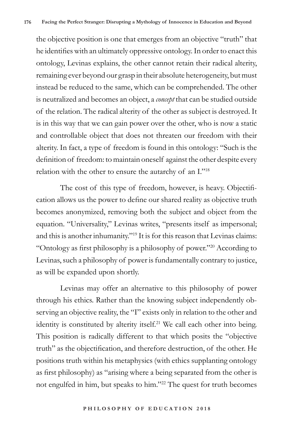the objective position is one that emerges from an objective "truth" that he identifies with an ultimately oppressive ontology. In order to enact this ontology, Levinas explains, the other cannot retain their radical alterity, remaining ever beyond our grasp in their absolute heterogeneity, but must instead be reduced to the same, which can be comprehended. The other is neutralized and becomes an object, a *concept* that can be studied outside of the relation. The radical alterity of the other as subject is destroyed. It is in this way that we can gain power over the other, who is now a static and controllable object that does not threaten our freedom with their alterity. In fact, a type of freedom is found in this ontology: "Such is the definition of freedom: to maintain oneself against the other despite every relation with the other to ensure the autarchy of an I."18

The cost of this type of freedom, however, is heavy. Objectification allows us the power to define our shared reality as objective truth becomes anonymized, removing both the subject and object from the equation. "Universality," Levinas writes, "presents itself as impersonal; and this is another inhumanity."19 It is for this reason that Levinas claims: "Ontology as first philosophy is a philosophy of power."20 According to Levinas, such a philosophy of power is fundamentally contrary to justice, as will be expanded upon shortly.

Levinas may offer an alternative to this philosophy of power through his ethics. Rather than the knowing subject independently observing an objective reality, the "I" exists only in relation to the other and identity is constituted by alterity itself.21 We call each other into being. This position is radically different to that which posits the "objective truth" as the objectification, and therefore destruction, of the other. He positions truth within his metaphysics (with ethics supplanting ontology as first philosophy) as "arising where a being separated from the other is not engulfed in him, but speaks to him."22 The quest for truth becomes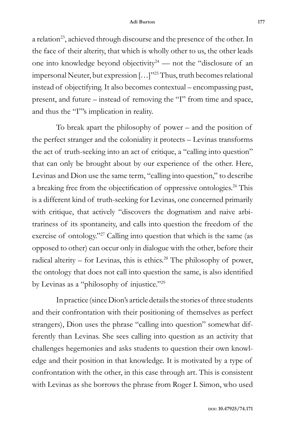a relation<sup>23</sup>, achieved through discourse and the presence of the other. In the face of their alterity, that which is wholly other to us, the other leads one into knowledge beyond objectivity<sup>24</sup> — not the "disclosure of an impersonal Neuter, but expression […]"25 Thus, truth becomes relational instead of objectifying. It also becomes contextual – encompassing past, present, and future – instead of removing the "I" from time and space, and thus the "I"'s implication in reality.

To break apart the philosophy of power – and the position of the perfect stranger and the coloniality it protects – Levinas transforms the act of truth-seeking into an act of critique, a "calling into question" that can only be brought about by our experience of the other. Here, Levinas and Dion use the same term, "calling into question," to describe a breaking free from the objectification of oppressive ontologies.26 This is a different kind of truth-seeking for Levinas, one concerned primarily with critique, that actively "discovers the dogmatism and naive arbitrariness of its spontaneity, and calls into question the freedom of the exercise of ontology."<sup>27</sup> Calling into question that which is the same (as opposed to other) can occur only in dialogue with the other, before their radical alterity – for Levinas, this is ethics.<sup>28</sup> The philosophy of power, the ontology that does not call into question the same, is also identified by Levinas as a "philosophy of injustice."29

In practice (since Dion's article details the stories of three students and their confrontation with their positioning of themselves as perfect strangers), Dion uses the phrase "calling into question" somewhat differently than Levinas. She sees calling into question as an activity that challenges hegemonies and asks students to question their own knowledge and their position in that knowledge. It is motivated by a type of confrontation with the other, in this case through art. This is consistent with Levinas as she borrows the phrase from Roger I. Simon, who used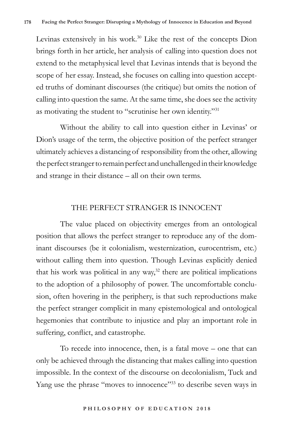Levinas extensively in his work.<sup>30</sup> Like the rest of the concepts Dion brings forth in her article, her analysis of calling into question does not extend to the metaphysical level that Levinas intends that is beyond the scope of her essay. Instead, she focuses on calling into question accepted truths of dominant discourses (the critique) but omits the notion of calling into question the same. At the same time, she does see the activity as motivating the student to "scrutinise her own identity."31

Without the ability to call into question either in Levinas' or Dion's usage of the term, the objective position of the perfect stranger ultimately achieves a distancing of responsibility from the other, allowing the perfect stranger to remain perfect and unchallenged in their knowledge and strange in their distance – all on their own terms.

#### THE PERFECT STRANGER IS INNOCENT

The value placed on objectivity emerges from an ontological position that allows the perfect stranger to reproduce any of the dominant discourses (be it colonialism, westernization, eurocentrism, etc.) without calling them into question. Though Levinas explicitly denied that his work was political in any way, $32$  there are political implications to the adoption of a philosophy of power. The uncomfortable conclusion, often hovering in the periphery, is that such reproductions make the perfect stranger complicit in many epistemological and ontological hegemonies that contribute to injustice and play an important role in suffering, conflict, and catastrophe.

To recede into innocence, then, is a fatal move – one that can only be achieved through the distancing that makes calling into question impossible. In the context of the discourse on decolonialism, Tuck and Yang use the phrase "moves to innocence"<sup>33</sup> to describe seven ways in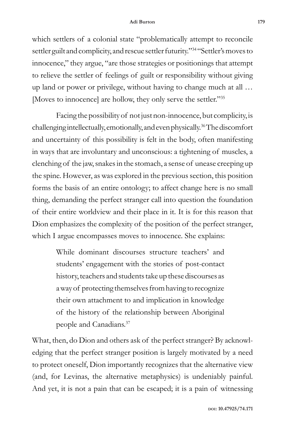which settlers of a colonial state "problematically attempt to reconcile settler guilt and complicity, and rescue settler futurity."34 "Settler's moves to innocence," they argue, "are those strategies or positionings that attempt to relieve the settler of feelings of guilt or responsibility without giving up land or power or privilege, without having to change much at all … [Moves to innocence] are hollow, they only serve the settler."35

Facing the possibility of not just non-innocence, but complicity, is challenging intellectually, emotionally, and even physically.36 The discomfort and uncertainty of this possibility is felt in the body, often manifesting in ways that are involuntary and unconscious: a tightening of muscles, a clenching of the jaw, snakes in the stomach, a sense of unease creeping up the spine. However, as was explored in the previous section, this position forms the basis of an entire ontology; to affect change here is no small thing, demanding the perfect stranger call into question the foundation of their entire worldview and their place in it. It is for this reason that Dion emphasizes the complexity of the position of the perfect stranger, which I argue encompasses moves to innocence. She explains:

> While dominant discourses structure teachers' and students' engagement with the stories of post-contact history, teachers and students take up these discourses as a way of protecting themselves from having to recognize their own attachment to and implication in knowledge of the history of the relationship between Aboriginal people and Canadians.<sup>37</sup>

What, then, do Dion and others ask of the perfect stranger? By acknowledging that the perfect stranger position is largely motivated by a need to protect oneself, Dion importantly recognizes that the alternative view (and, for Levinas, the alternative metaphysics) is undeniably painful. And yet, it is not a pain that can be escaped; it is a pain of witnessing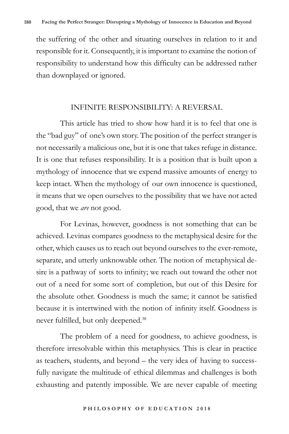the suffering of the other and situating ourselves in relation to it and responsible for it. Consequently, it is important to examine the notion of responsibility to understand how this difficulty can be addressed rather than downplayed or ignored.

### INFINITE RESPONSIBILITY: A REVERSAL

This article has tried to show how hard it is to feel that one is the "bad guy" of one's own story. The position of the perfect stranger is not necessarily a malicious one, but it is one that takes refuge in distance. It is one that refuses responsibility. It is a position that is built upon a mythology of innocence that we expend massive amounts of energy to keep intact. When the mythology of our own innocence is questioned, it means that we open ourselves to the possibility that we have not acted good, that we *are* not good.

For Levinas, however, goodness is not something that can be achieved. Levinas compares goodness to the metaphysical desire for the other, which causes us to reach out beyond ourselves to the ever-remote, separate, and utterly unknowable other. The notion of metaphysical desire is a pathway of sorts to infinity; we reach out toward the other not out of a need for some sort of completion, but out of this Desire for the absolute other. Goodness is much the same; it cannot be satisfied because it is intertwined with the notion of infinity itself. Goodness is never fulfilled, but only deepened.<sup>38</sup>

The problem of a need for goodness, to achieve goodness, is therefore irresolvable within this metaphysics. This is clear in practice as teachers, students, and beyond – the very idea of having to successfully navigate the multitude of ethical dilemmas and challenges is both exhausting and patently impossible. We are never capable of meeting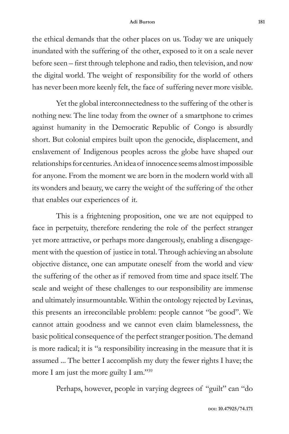the ethical demands that the other places on us. Today we are uniquely inundated with the suffering of the other, exposed to it on a scale never before seen – first through telephone and radio, then television, and now the digital world. The weight of responsibility for the world of others has never been more keenly felt, the face of suffering never more visible.

Yet the global interconnectedness to the suffering of the other is nothing new. The line today from the owner of a smartphone to crimes against humanity in the Democratic Republic of Congo is absurdly short. But colonial empires built upon the genocide, displacement, and enslavement of Indigenous peoples across the globe have shaped our relationships for centuries. An idea of innocence seems almost impossible for anyone. From the moment we are born in the modern world with all its wonders and beauty, we carry the weight of the suffering of the other that enables our experiences of it.

This is a frightening proposition, one we are not equipped to face in perpetuity, therefore rendering the role of the perfect stranger yet more attractive, or perhaps more dangerously, enabling a disengagement with the question of justice in total. Through achieving an absolute objective distance, one can amputate oneself from the world and view the suffering of the other as if removed from time and space itself. The scale and weight of these challenges to our responsibility are immense and ultimately insurmountable. Within the ontology rejected by Levinas, this presents an irreconcilable problem: people cannot "be good". We cannot attain goodness and we cannot even claim blamelessness, the basic political consequence of the perfect stranger position. The demand is more radical; it is "a responsibility increasing in the measure that it is assumed ... The better I accomplish my duty the fewer rights I have; the more I am just the more guilty I am."<sup>39</sup>

Perhaps, however, people in varying degrees of "guilt" can "do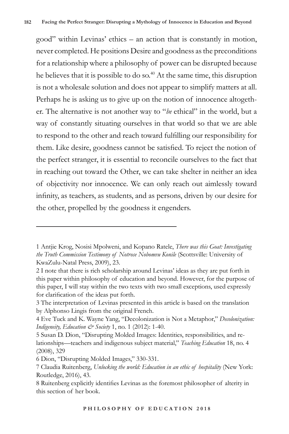good" within Levinas' ethics – an action that is constantly in motion, never completed. He positions Desire and goodness as the preconditions for a relationship where a philosophy of power can be disrupted because he believes that it is possible to do so.<sup>40</sup> At the same time, this disruption is not a wholesale solution and does not appear to simplify matters at all. Perhaps he is asking us to give up on the notion of innocence altogether. The alternative is not another way to "*be* ethical" in the world, but a way of constantly situating ourselves in that world so that we are able to respond to the other and reach toward fulfilling our responsibility for them. Like desire, goodness cannot be satisfied. To reject the notion of the perfect stranger, it is essential to reconcile ourselves to the fact that in reaching out toward the Other, we can take shelter in neither an idea of objectivity nor innocence. We can only reach out aimlessly toward infinity, as teachers, as students, and as persons, driven by our desire for the other, propelled by the goodness it engenders.

<sup>1</sup> Antjie Krog, Nosisi Mpolweni, and Kopano Ratele, *There was this Goat: Investigating the Truth Commission Testimony of Notrose Nobomvu Konile* (Scottsville: University of KwaZulu-Natal Press, 2009), 23.

<sup>2</sup> I note that there is rich scholarship around Levinas' ideas as they are put forth in this paper within philosophy of education and beyond. However, for the purpose of this paper, I will stay within the two texts with two small exceptions, used expressly for clarification of the ideas put forth.

<sup>3</sup> The interpretation of Levinas presented in this article is based on the translation by Alphonso Lingis from the original French.

<sup>4</sup> Eve Tuck and K. Wayne Yang, "Decolonization is Not a Metaphor," *Decolonization: Indigeneity, Education & Society* 1, no. 1 (2012): 1-40.

<sup>5</sup> Susan D. Dion, "Disrupting Molded Images: Identities, responsibilities, and relationships—teachers and indigenous subject material," *Teaching Education* 18, no. 4 (2008), 329

<sup>6</sup> Dion, "Disrupting Molded Images," 330-331.

<sup>7</sup> Claudia Ruitenberg, *Unlocking the world: Education in an ethic of hospitality* (New York: Routledge, 2016), 43.

<sup>8</sup> Ruitenberg explicitly identifies Levinas as the foremost philosopher of alterity in this section of her book.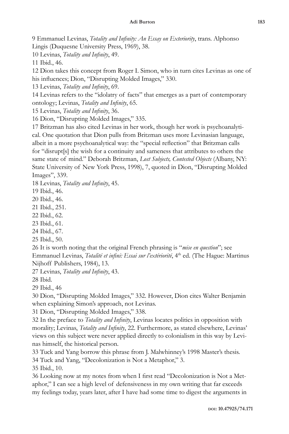9 Emmanuel Levinas, *Totality and Infinity: An Essay on Exteriority*, trans. Alphonso Lingis (Duquesne University Press, 1969), 38.

10 Levinas, *Totality and Infinity*, 49.

11 Ibid., 46.

12 Dion takes this concept from Roger I. Simon, who in turn cites Levinas as one of his influences; Dion, "Disrupting Molded Images," 330.

13 Levinas, *Totality and Infinity*, 69.

14 Levinas refers to the "idolatry of facts" that emerges as a part of contemporary ontology; Levinas, *Totality and Infinity*, 65.

15 Levinas, *Totality and Infinity*, 36.

16 Dion, "Disrupting Molded Images," 335.

17 Britzman has also cited Levinas in her work, though her work is psychoanalytical. One quotation that Dion pulls from Britzman uses more Levinasian language, albeit in a more psychoanalytical way: the "special reflection" that Britzman calls for "disrupt[s] the wish for a continuity and sameness that attributes to others the same state of mind." Deborah Britzman, *Lost Subjects, Contested Objects* (Albany, NY: State University of New York Press, 1998), 7, quoted in Dion, "Disrupting Molded Images", 339.

18 Levinas, *Totality and Infinity*, 45.

19 Ibid., 46.

20 Ibid., 46.

21 Ibid., 251.

22 Ibid., 62.

23 Ibid., 61.

24 Ibid., 67.

25 Ibid., 50.

26 It is worth noting that the original French phrasing is "*mise en question*"; see Emmanuel Levinas, *Totalité et infini: Essai sur l'extériorité*, 4th ed. (The Hague: Martinus Nijhoff Publishers, 1984), 13.

27 Levinas, *Totality and Infinity*, 43.

28 Ibid.

29 Ibid., 46

30 Dion, "Disrupting Molded Images," 332. However, Dion cites Walter Benjamin when explaining Simon's approach, not Levinas.

31 Dion, "Disrupting Molded Images," 338.

32 In the preface to *Totality and Infinity*, Levinas locates politics in opposition with morality; Levinas, *Totality and Infinity*, 22. Furthermore, as stated elsewhere, Levinas' views on this subject were never applied directly to colonialism in this way by Levinas himself, the historical person.

33 Tuck and Yang borrow this phrase from J. Malwhinney's 1998 Master's thesis. 34 Tuck and Yang, "Decolonization is Not a Metaphor," 3.

35 Ibid., 10.

36 Looking now at my notes from when I first read "Decolonization is Not a Metaphor," I can see a high level of defensiveness in my own writing that far exceeds my feelings today, years later, after I have had some time to digest the arguments in